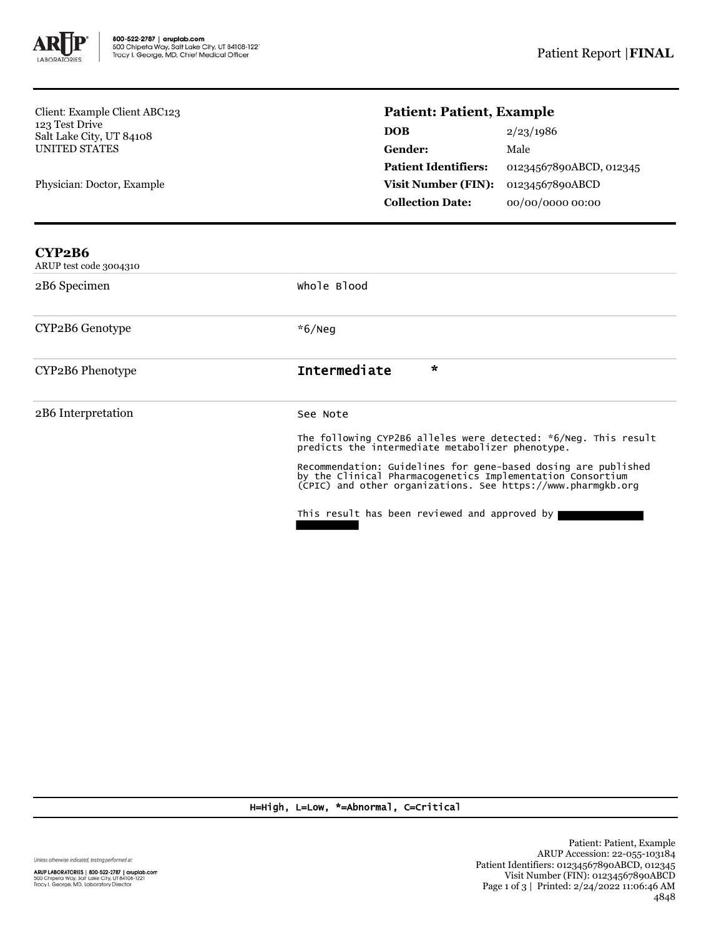

Client: Example Client ABC123 123 Test Drive Salt Lake City, UT 84108 UNITED STATES

Physician: Doctor, Example

## **Patient: Patient, Example**

| <b>DOB</b>                  | 2/23/1986               |
|-----------------------------|-------------------------|
| Gender:                     | Male                    |
| <b>Patient Identifiers:</b> | 01234567890ABCD, 012345 |
| Visit Number (FIN):         | 01234567890ABCD         |
| <b>Collection Date:</b>     | 00/00/0000 00:00        |

| CYP2B6<br>ARUP test code 3004310 |                                                                                                                                                                                                                                                                                                                                                                               |  |
|----------------------------------|-------------------------------------------------------------------------------------------------------------------------------------------------------------------------------------------------------------------------------------------------------------------------------------------------------------------------------------------------------------------------------|--|
| 2B6 Specimen                     | whole Blood                                                                                                                                                                                                                                                                                                                                                                   |  |
| CYP2B6 Genotype                  | $*6/$ Neq                                                                                                                                                                                                                                                                                                                                                                     |  |
| CYP2B6 Phenotype                 | Intermediate<br>$\star$                                                                                                                                                                                                                                                                                                                                                       |  |
| 2B6 Interpretation               | See Note<br>The following CYP2B6 alleles were detected: *6/Neg. This result predicts the intermediate metabolizer phenotype.<br>Recommendation: Guidelines for gene-based dosing are published<br>by the Clinical Pharmacogenetics Implementation Consortium<br>(CPIC) and other organizations. See https://www.pharmgkb.org<br>This result has been reviewed and approved by |  |

H=High, L=Low, \*=Abnormal, C=Critical

Unless otherwise indicated, testing performed at: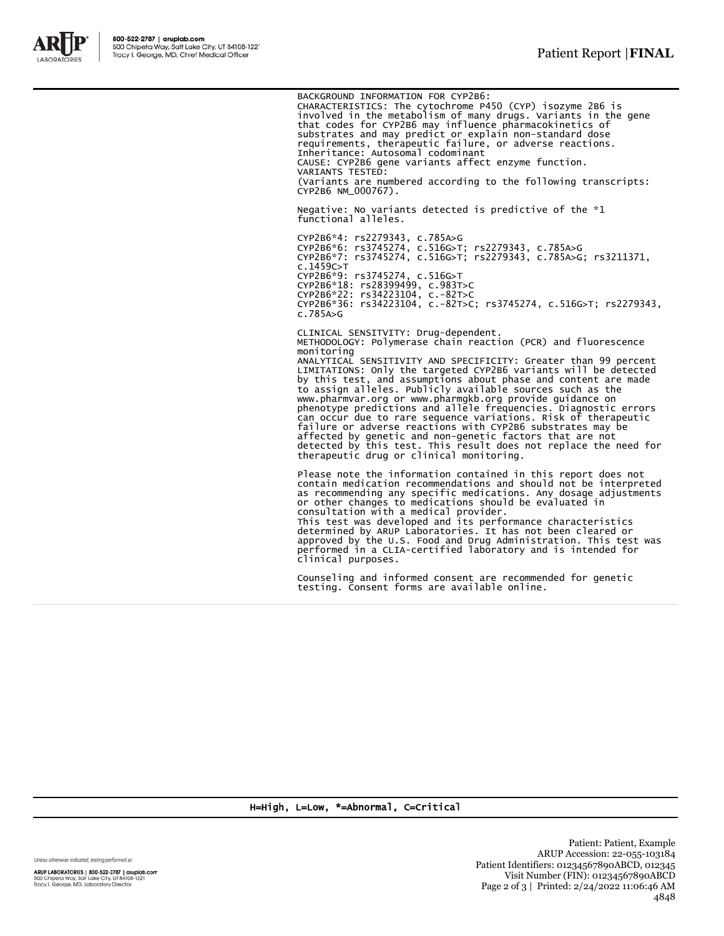

BACKGROUND INFORMATION FOR CYP2B6:

CHARACTERISTICS: The cytochrome P450 (CYP) isozyme 2B6 is involved in the metabolism of many drugs. Variants in the gene that codes for CYP2B6 may influence pharmacokinetics of substrates and may predict or explain non-standard dose requirements, therapeutic failure, or adverse reactions. Inheritance: Autosomal codominant CAUSE: CYP2B6 gene variants affect enzyme function. VARIANTS TESTED: (Variants are numbered according to the following transcripts: CYP2B6 NM\_000767).

Negative: No variants detected is predictive of the \*1 functional alleles.

CYP2B6\*4: rs2279343, c.785A>G CYP2B6\*6: rs3745274, c.516G>T; rs2279343, c.785A>G CYP2B6\*7: rs3745274, c.516G>T; rs2279343, c.785A>G; rs3211371, c.1459C>T CYP2B6\*9: rs3745274, c.516G>T CYP2B6\*18: rs28399499, c.983T>C CYP2B6\*22: rs34223104, c.-82T>C CYP2B6\*36: rs34223104, c.-82T>C; rs3745274, c.516G>T; rs2279343, c.785A>G

CLINICAL SENSITVITY: Drug-dependent. METHODOLOGY: Polymerase chain reaction (PCR) and fluorescence monitoring ANALYTICAL SENSITIVITY AND SPECIFICITY: Greater than 99 percent LIMITATIONS: Only the targeted CYP2B6 variants will be detected by this test, and assumptions about phase and content are made to assign alleles. Publicly available sources such as the www.pharmvar.org or www.pharmgkb.org provide guidance on phenotype predictions and allele frequencies. Diagnostic errors can occur due to rare sequence variations. Risk of therapeutic<br>failure or adverse reactions with CYP2B6 substrates may be<br>affected by genetic and non-genetic factors that are not<br>detected by this test. This result does not therapeutic drug or clinical monitoring.

Please note the information contained in this report does not contain medication recommendations and should not be interpreted as recommending any specific medications. Any dosage adjustments or other changes to medications should be evaluated in consultation with a medical provider. This test was developed and its performance characteristics determined by ARUP Laboratories. It has not been cleared or approved by the U.S. Food and Drug Administration. This test was performed in a CLIA-certified laboratory and is intended for

Counseling and informed consent are recommended for genetic testing. Consent forms are available online.

H=High, L=Low, \*=Abnormal, C=Critical

clinical purposes.

Unless otherwise indicated, testing performed at:

ARUP LABORATORIES | 800-522-2787 | aruplab.com 500 Chipeta Way, Salt Lake City, UT 84108-1221<br>Tracy I. George, MD, Laboratory Director

Patient: Patient, Example ARUP Accession: 22-055-103184 Patient Identifiers: 01234567890ABCD, 012345 Visit Number (FIN): 01234567890ABCD Page 2 of 3 | Printed: 2/24/2022 11:06:46 AM 4848